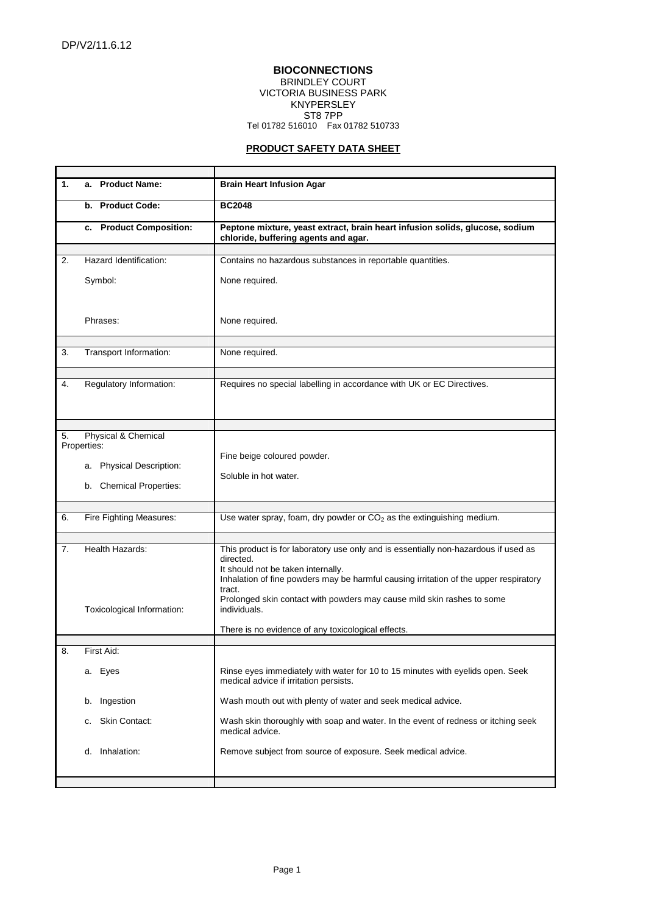$\mathbf{r}$ 

## **BIOCONNECTIONS**  BRINDLEY COURT VICTORIA BUSINESS PARK KNYPERSLEY ST8 7PP Tel 01782 516010 Fax 01782 510733

## **PRODUCT SAFETY DATA SHEET**

| 1.                        | a. Product Name:           | <b>Brain Heart Infusion Agar</b>                                                                                                                                                                                                          |
|---------------------------|----------------------------|-------------------------------------------------------------------------------------------------------------------------------------------------------------------------------------------------------------------------------------------|
|                           | b. Product Code:           | <b>BC2048</b>                                                                                                                                                                                                                             |
|                           | c. Product Composition:    | Peptone mixture, yeast extract, brain heart infusion solids, glucose, sodium<br>chloride, buffering agents and agar.                                                                                                                      |
|                           |                            |                                                                                                                                                                                                                                           |
| 2.                        | Hazard Identification:     | Contains no hazardous substances in reportable quantities.                                                                                                                                                                                |
|                           | Symbol:                    | None required.                                                                                                                                                                                                                            |
|                           | Phrases:                   | None required.                                                                                                                                                                                                                            |
|                           |                            |                                                                                                                                                                                                                                           |
| 3.                        | Transport Information:     | None required.                                                                                                                                                                                                                            |
|                           |                            |                                                                                                                                                                                                                                           |
| 4.                        | Regulatory Information:    | Requires no special labelling in accordance with UK or EC Directives.                                                                                                                                                                     |
|                           |                            |                                                                                                                                                                                                                                           |
| Physical & Chemical<br>5. |                            |                                                                                                                                                                                                                                           |
|                           | Properties:                |                                                                                                                                                                                                                                           |
|                           | a. Physical Description:   | Fine beige coloured powder.                                                                                                                                                                                                               |
|                           |                            | Soluble in hot water.                                                                                                                                                                                                                     |
|                           | b. Chemical Properties:    |                                                                                                                                                                                                                                           |
|                           |                            |                                                                                                                                                                                                                                           |
|                           |                            | Use water spray, foam, dry powder or $CO2$ as the extinguishing medium.                                                                                                                                                                   |
| 6.                        | Fire Fighting Measures:    |                                                                                                                                                                                                                                           |
|                           |                            |                                                                                                                                                                                                                                           |
| 7.                        | Health Hazards:            | This product is for laboratory use only and is essentially non-hazardous if used as<br>directed.<br>It should not be taken internally.<br>Inhalation of fine powders may be harmful causing irritation of the upper respiratory<br>tract. |
|                           | Toxicological Information: | Prolonged skin contact with powders may cause mild skin rashes to some<br>individuals.                                                                                                                                                    |
|                           |                            | There is no evidence of any toxicological effects.                                                                                                                                                                                        |
| 8.                        | First Aid:                 |                                                                                                                                                                                                                                           |
|                           |                            |                                                                                                                                                                                                                                           |
|                           | a. Eyes                    | Rinse eyes immediately with water for 10 to 15 minutes with eyelids open. Seek<br>medical advice if irritation persists.                                                                                                                  |
|                           | Ingestion<br>b.            | Wash mouth out with plenty of water and seek medical advice.                                                                                                                                                                              |
|                           | Skin Contact:<br>c.        | Wash skin thoroughly with soap and water. In the event of redness or itching seek<br>medical advice.                                                                                                                                      |
|                           | d. Inhalation:             | Remove subject from source of exposure. Seek medical advice.                                                                                                                                                                              |
|                           |                            |                                                                                                                                                                                                                                           |